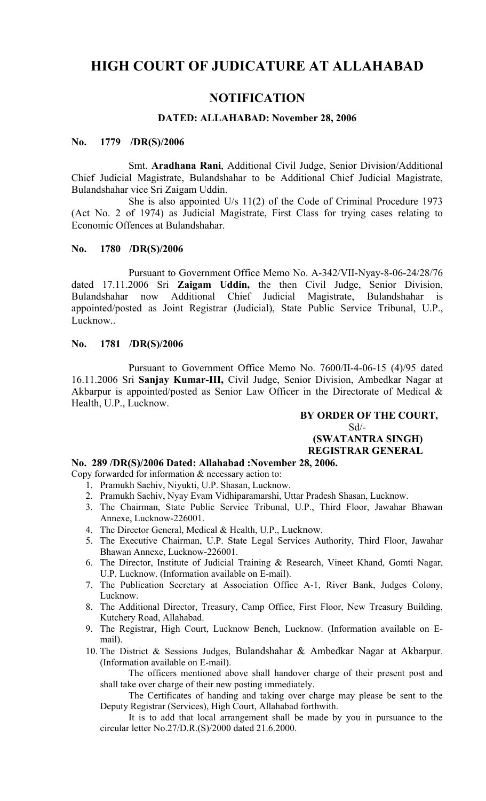# **HIGH COURT OF JUDICATURE AT ALLAHABAD**

# **NOTIFICATION**

# **DATED: ALLAHABAD: November 28, 2006**

#### **No. 1779 /DR(S)/2006**

Smt. **Aradhana Rani**, Additional Civil Judge, Senior Division/Additional Chief Judicial Magistrate, Bulandshahar to be Additional Chief Judicial Magistrate, Bulandshahar vice Sri Zaigam Uddin.

She is also appointed U/s 11(2) of the Code of Criminal Procedure 1973 (Act No. 2 of 1974) as Judicial Magistrate, First Class for trying cases relating to Economic Offences at Bulandshahar.

#### **No. 1780 /DR(S)/2006**

Pursuant to Government Office Memo No. A-342/VII-Nyay-8-06-24/28/76 dated 17.11.2006 Sri **Zaigam Uddin,** the then Civil Judge, Senior Division, Bulandshahar now Additional Chief Judicial Magistrate, Bulandshahar is appointed/posted as Joint Registrar (Judicial), State Public Service Tribunal, U.P., Lucknow..

#### **No. 1781 /DR(S)/2006**

Pursuant to Government Office Memo No. 7600/II-4-06-15 (4)/95 dated 16.11.2006 Sri **Sanjay Kumar-III,** Civil Judge, Senior Division, Ambedkar Nagar at Akbarpur is appointed/posted as Senior Law Officer in the Directorate of Medical & Health, U.P., Lucknow.

### **BY ORDER OF THE COURT,**  $Sd$  – **(SWATANTRA SINGH) REGISTRAR GENERAL**

#### **No. 289 /DR(S)/2006 Dated: Allahabad :November 28, 2006.**

Copy forwarded for information & necessary action to:

- 1. Pramukh Sachiv, Niyukti, U.P. Shasan, Lucknow.
- 2. Pramukh Sachiv, Nyay Evam Vidhiparamarshi, Uttar Pradesh Shasan, Lucknow.
- 3. The Chairman, State Public Service Tribunal, U.P., Third Floor, Jawahar Bhawan Annexe, Lucknow-226001.
- 4. The Director General, Medical & Health, U.P., Lucknow.
- 5. The Executive Chairman, U.P. State Legal Services Authority, Third Floor, Jawahar Bhawan Annexe, Lucknow-226001.
- 6. The Director, Institute of Judicial Training & Research, Vineet Khand, Gomti Nagar, U.P. Lucknow. (Information available on E-mail).
- 7. The Publication Secretary at Association Office A-1, River Bank, Judges Colony, Lucknow.
- 8. The Additional Director, Treasury, Camp Office, First Floor, New Treasury Building, Kutchery Road, Allahabad.
- 9. The Registrar, High Court, Lucknow Bench, Lucknow. (Information available on Email).
- 10. The District & Sessions Judges, Bulandshahar & Ambedkar Nagar at Akbarpur. (Information available on E-mail).

The officers mentioned above shall handover charge of their present post and shall take over charge of their new posting immediately.

The Certificates of handing and taking over charge may please be sent to the Deputy Registrar (Services), High Court, Allahabad forthwith.

It is to add that local arrangement shall be made by you in pursuance to the circular letter No.27/D.R.(S)/2000 dated 21.6.2000.